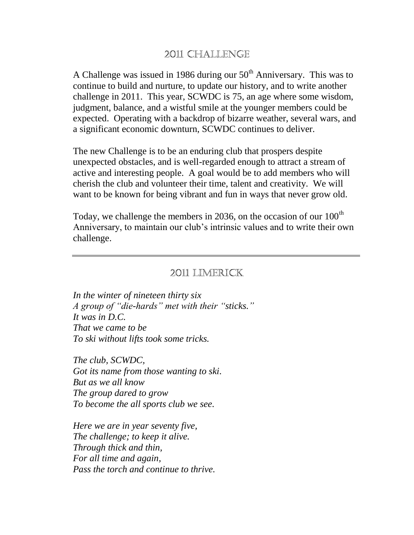## 2011 CHALLENGE

A Challenge was issued in 1986 during our  $50<sup>th</sup>$  Anniversary. This was to continue to build and nurture, to update our history, and to write another challenge in 2011. This year, SCWDC is 75, an age where some wisdom, judgment, balance, and a wistful smile at the younger members could be expected. Operating with a backdrop of bizarre weather, several wars, and a significant economic downturn, SCWDC continues to deliver.

The new Challenge is to be an enduring club that prospers despite unexpected obstacles, and is well-regarded enough to attract a stream of active and interesting people. A goal would be to add members who will cherish the club and volunteer their time, talent and creativity. We will want to be known for being vibrant and fun in ways that never grow old.

Today, we challenge the members in 2036, on the occasion of our  $100<sup>th</sup>$ Anniversary, to maintain our club's intrinsic values and to write their own challenge.

### 2011 LIMERICK

*In the winter of nineteen thirty six A group of "die-hards" met with their "sticks." It was in D.C. That we came to be To ski without lifts took some tricks.*

*The club, SCWDC, Got its name from those wanting to ski. But as we all know The group dared to grow To become the all sports club we see.*

*Here we are in year seventy five, The challenge; to keep it alive. Through thick and thin, For all time and again, Pass the torch and continue to thrive.*